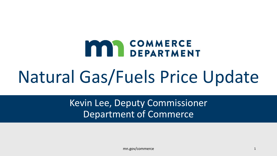# **MAA COMMERCE**

# Natural Gas/Fuels Price Update

Kevin Lee, Deputy Commissioner Department of Commerce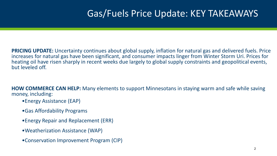# Gas/Fuels Price Update: KEY TAKEAWAYS

**PRICING UPDATE:** Uncertainty continues about global supply, inflation for natural gas and delivered fuels. Price increases for natural gas have been significant, and consumer impacts linger from Winter Storm Uri. Prices for heating oil have risen sharply in recent weeks due largely to global supply constraints and geopolitical events, but leveled off.

**HOW COMMERCE CAN HELP:** Many elements to support Minnesotans in staying warm and safe while saving money, including:

- •Energy Assistance (EAP)
- •Gas Affordability Programs
- •Energy Repair and Replacement (ERR)
- •Weatherization Assistance (WAP)
- •Conservation Improvement Program (CIP)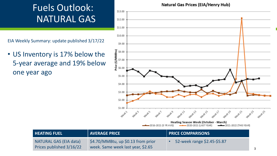# Fuels Outlook: NATURAL GAS

EIA Weekly Summary: update published 3/17/22

• US Inventory is 17% below the 5-year average and 19% below one year ago

#### **Natural Gas Prices (EIA/Henry Hub)**



| <b>HEATING FUEL</b>                                | <b>AVERAGE PRICE</b>                                                      | <b>PRICE COMPARISONS</b>    |  |
|----------------------------------------------------|---------------------------------------------------------------------------|-----------------------------|--|
| NATURAL GAS (EIA data)<br>Prices published 3/16/22 | $$4.70/MM$ Btu, up \$0.13 from prior<br>week. Same week last year, \$2.65 | 52-week range \$2.45-\$5.87 |  |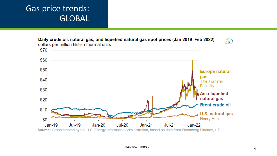### Gas price trends: GLOBAL

 $\widehat{\mathrm{eia}}$ 

Daily crude oil, natural gas, and liquefied natural gas spot prices (Jan 2019–Feb 2022) dollars per million British thermal units

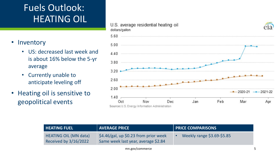# Fuels Outlook: HEATING OIL

- Inventory
	- US: decreased last week and is about 16% below the 5-yr average
	- Currently unable to anticipate leveling off
- Heating oil is sensitive to geopolitical events



| <b>HEATING FUEL</b>                                   | <b>AVERAGE PRICE</b>                                                           | <b>FRICE COMPARISONS</b>   |
|-------------------------------------------------------|--------------------------------------------------------------------------------|----------------------------|
| <b>HEATING OIL (MN data)</b><br>Received by 3/16/2022 | $$4.46/gal$ , up \$0.23 from prior week<br>Same week last year, average \$2.84 | Weekly range \$3.69-\$5.85 |

mn.gov/commerce 5

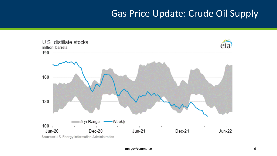# Gas Price Update: Crude Oil Supply

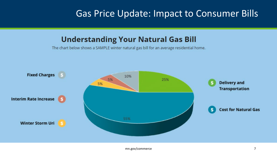## Gas Price Update: Impact to Consumer Bills

### **Understanding Your Natural Gas Bill**

The chart below shows a SAMPLE winter natural gas bill for an average residential home.